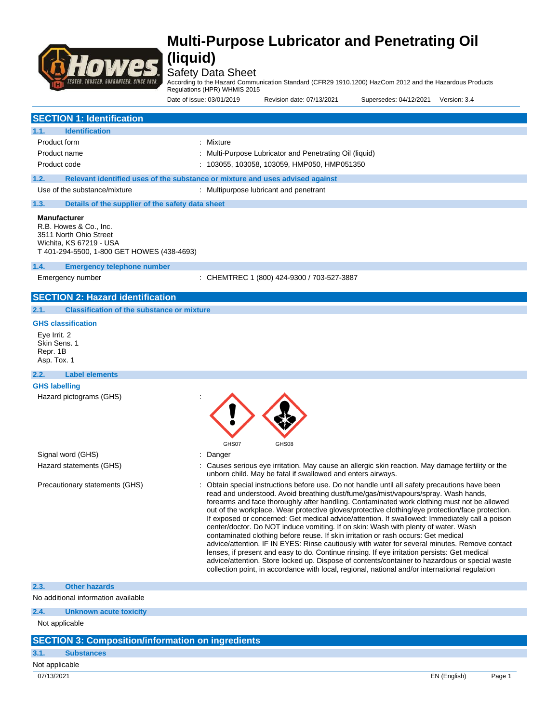

### Safety Data Sheet

According to the Hazard Communication Standard (CFR29 1910.1200) HazCom 2012 and the Hazardous Products

Regulations (HPR) WHMIS 2015

Date of issue: 03/01/2019 Revision date: 07/13/2021 Supersedes: 04/12/2021 Version: 3.4

| <b>SECTION 1: Identification</b>                                                                                                                 |                                                                                                                                                                                                                                                                                                                                                                                                                                                                                                                                                                                                                                                                                                                                                                                                                                                                                                                                                                                                                                                                          |
|--------------------------------------------------------------------------------------------------------------------------------------------------|--------------------------------------------------------------------------------------------------------------------------------------------------------------------------------------------------------------------------------------------------------------------------------------------------------------------------------------------------------------------------------------------------------------------------------------------------------------------------------------------------------------------------------------------------------------------------------------------------------------------------------------------------------------------------------------------------------------------------------------------------------------------------------------------------------------------------------------------------------------------------------------------------------------------------------------------------------------------------------------------------------------------------------------------------------------------------|
| <b>Identification</b><br>1.1.                                                                                                                    |                                                                                                                                                                                                                                                                                                                                                                                                                                                                                                                                                                                                                                                                                                                                                                                                                                                                                                                                                                                                                                                                          |
| Product form                                                                                                                                     | : Mixture                                                                                                                                                                                                                                                                                                                                                                                                                                                                                                                                                                                                                                                                                                                                                                                                                                                                                                                                                                                                                                                                |
| Product name                                                                                                                                     | : Multi-Purpose Lubricator and Penetrating Oil (liquid)                                                                                                                                                                                                                                                                                                                                                                                                                                                                                                                                                                                                                                                                                                                                                                                                                                                                                                                                                                                                                  |
| Product code                                                                                                                                     | : 103055, 103058, 103059, HMP050, HMP051350                                                                                                                                                                                                                                                                                                                                                                                                                                                                                                                                                                                                                                                                                                                                                                                                                                                                                                                                                                                                                              |
|                                                                                                                                                  |                                                                                                                                                                                                                                                                                                                                                                                                                                                                                                                                                                                                                                                                                                                                                                                                                                                                                                                                                                                                                                                                          |
| 1.2.                                                                                                                                             | Relevant identified uses of the substance or mixture and uses advised against                                                                                                                                                                                                                                                                                                                                                                                                                                                                                                                                                                                                                                                                                                                                                                                                                                                                                                                                                                                            |
| Use of the substance/mixture                                                                                                                     | : Multipurpose lubricant and penetrant                                                                                                                                                                                                                                                                                                                                                                                                                                                                                                                                                                                                                                                                                                                                                                                                                                                                                                                                                                                                                                   |
| 1.3.<br>Details of the supplier of the safety data sheet                                                                                         |                                                                                                                                                                                                                                                                                                                                                                                                                                                                                                                                                                                                                                                                                                                                                                                                                                                                                                                                                                                                                                                                          |
| <b>Manufacturer</b><br>R.B. Howes & Co., Inc.<br>3511 North Ohio Street<br>Wichita, KS 67219 - USA<br>T 401-294-5500, 1-800 GET HOWES (438-4693) |                                                                                                                                                                                                                                                                                                                                                                                                                                                                                                                                                                                                                                                                                                                                                                                                                                                                                                                                                                                                                                                                          |
| 1.4.<br><b>Emergency telephone number</b>                                                                                                        |                                                                                                                                                                                                                                                                                                                                                                                                                                                                                                                                                                                                                                                                                                                                                                                                                                                                                                                                                                                                                                                                          |
| Emergency number                                                                                                                                 | : CHEMTREC 1 (800) 424-9300 / 703-527-3887                                                                                                                                                                                                                                                                                                                                                                                                                                                                                                                                                                                                                                                                                                                                                                                                                                                                                                                                                                                                                               |
|                                                                                                                                                  |                                                                                                                                                                                                                                                                                                                                                                                                                                                                                                                                                                                                                                                                                                                                                                                                                                                                                                                                                                                                                                                                          |
| <b>SECTION 2: Hazard identification</b>                                                                                                          |                                                                                                                                                                                                                                                                                                                                                                                                                                                                                                                                                                                                                                                                                                                                                                                                                                                                                                                                                                                                                                                                          |
| <b>Classification of the substance or mixture</b><br>2.1.                                                                                        |                                                                                                                                                                                                                                                                                                                                                                                                                                                                                                                                                                                                                                                                                                                                                                                                                                                                                                                                                                                                                                                                          |
| <b>GHS classification</b>                                                                                                                        |                                                                                                                                                                                                                                                                                                                                                                                                                                                                                                                                                                                                                                                                                                                                                                                                                                                                                                                                                                                                                                                                          |
| Eye Irrit. 2<br>Skin Sens, 1<br>Repr. 1B<br>Asp. Tox. 1                                                                                          |                                                                                                                                                                                                                                                                                                                                                                                                                                                                                                                                                                                                                                                                                                                                                                                                                                                                                                                                                                                                                                                                          |
| 2.2.<br><b>Label elements</b>                                                                                                                    |                                                                                                                                                                                                                                                                                                                                                                                                                                                                                                                                                                                                                                                                                                                                                                                                                                                                                                                                                                                                                                                                          |
| <b>GHS labelling</b>                                                                                                                             |                                                                                                                                                                                                                                                                                                                                                                                                                                                                                                                                                                                                                                                                                                                                                                                                                                                                                                                                                                                                                                                                          |
| Hazard pictograms (GHS)                                                                                                                          | GHS07<br>GHS08                                                                                                                                                                                                                                                                                                                                                                                                                                                                                                                                                                                                                                                                                                                                                                                                                                                                                                                                                                                                                                                           |
| Signal word (GHS)                                                                                                                                | Danger                                                                                                                                                                                                                                                                                                                                                                                                                                                                                                                                                                                                                                                                                                                                                                                                                                                                                                                                                                                                                                                                   |
| Hazard statements (GHS)                                                                                                                          | Causes serious eye irritation. May cause an allergic skin reaction. May damage fertility or the<br>unborn child. May be fatal if swallowed and enters airways.                                                                                                                                                                                                                                                                                                                                                                                                                                                                                                                                                                                                                                                                                                                                                                                                                                                                                                           |
| Precautionary statements (GHS)                                                                                                                   | Obtain special instructions before use. Do not handle until all safety precautions have been<br>read and understood. Avoid breathing dust/fume/gas/mist/vapours/spray. Wash hands,<br>forearms and face thoroughly after handling. Contaminated work clothing must not be allowed<br>out of the workplace. Wear protective gloves/protective clothing/eye protection/face protection.<br>If exposed or concerned: Get medical advice/attention. If swallowed: Immediately call a poison<br>center/doctor. Do NOT induce vomiting. If on skin: Wash with plenty of water. Wash<br>contaminated clothing before reuse. If skin irritation or rash occurs: Get medical<br>advice/attention. IF IN EYES: Rinse cautiously with water for several minutes. Remove contact<br>lenses, if present and easy to do. Continue rinsing. If eye irritation persists: Get medical<br>advice/attention. Store locked up. Dispose of contents/container to hazardous or special waste<br>collection point, in accordance with local, regional, national and/or international regulation |
| 2.3.<br><b>Other hazards</b>                                                                                                                     |                                                                                                                                                                                                                                                                                                                                                                                                                                                                                                                                                                                                                                                                                                                                                                                                                                                                                                                                                                                                                                                                          |
| No additional information available                                                                                                              |                                                                                                                                                                                                                                                                                                                                                                                                                                                                                                                                                                                                                                                                                                                                                                                                                                                                                                                                                                                                                                                                          |
| 2.4.<br><b>Unknown acute toxicity</b>                                                                                                            |                                                                                                                                                                                                                                                                                                                                                                                                                                                                                                                                                                                                                                                                                                                                                                                                                                                                                                                                                                                                                                                                          |
| Not applicable                                                                                                                                   |                                                                                                                                                                                                                                                                                                                                                                                                                                                                                                                                                                                                                                                                                                                                                                                                                                                                                                                                                                                                                                                                          |
| <b>SECTION 3: Composition/information on ingredients</b>                                                                                         |                                                                                                                                                                                                                                                                                                                                                                                                                                                                                                                                                                                                                                                                                                                                                                                                                                                                                                                                                                                                                                                                          |
| 3.1.<br><b>Substances</b>                                                                                                                        |                                                                                                                                                                                                                                                                                                                                                                                                                                                                                                                                                                                                                                                                                                                                                                                                                                                                                                                                                                                                                                                                          |
| Not applicable                                                                                                                                   |                                                                                                                                                                                                                                                                                                                                                                                                                                                                                                                                                                                                                                                                                                                                                                                                                                                                                                                                                                                                                                                                          |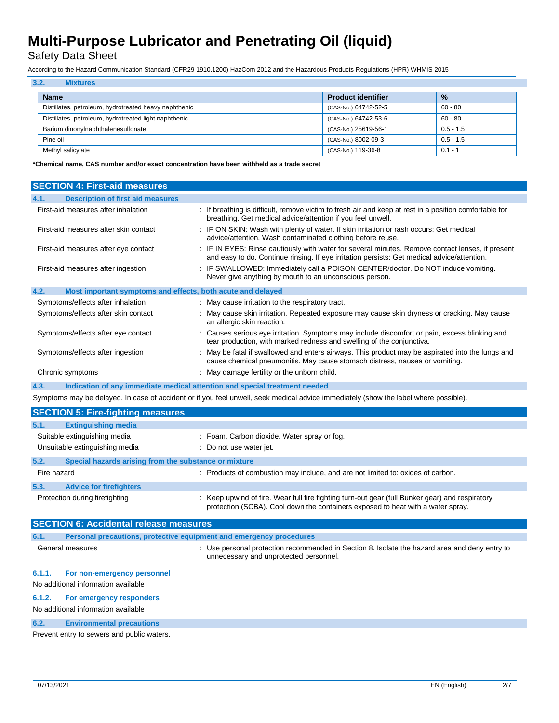Safety Data Sheet

According to the Hazard Communication Standard (CFR29 1910.1200) HazCom 2012 and the Hazardous Products Regulations (HPR) WHMIS 2015

| 3.2.<br><b>Mixtures</b>                               |                           |               |
|-------------------------------------------------------|---------------------------|---------------|
| <b>Name</b>                                           | <b>Product identifier</b> | $\frac{9}{6}$ |
| Distillates, petroleum, hydrotreated heavy naphthenic | (CAS-No.) 64742-52-5      | $60 - 80$     |
| Distillates, petroleum, hydrotreated light naphthenic | (CAS-No.) 64742-53-6      | $60 - 80$     |
| Barium dinonylnaphthalenesulfonate                    | (CAS-No.) 25619-56-1      | $0.5 - 1.5$   |
| Pine oil                                              | (CAS-No.) 8002-09-3       | $0.5 - 1.5$   |
| Methyl salicylate                                     | (CAS-No.) 119-36-8        | $0.1 - 1$     |

**\*Chemical name, CAS number and/or exact concentration have been withheld as a trade secret**

| <b>SECTION 4: First-aid measures</b>                                                                                                 |                                                                                                                                                                                                 |  |
|--------------------------------------------------------------------------------------------------------------------------------------|-------------------------------------------------------------------------------------------------------------------------------------------------------------------------------------------------|--|
| 4.1.<br><b>Description of first aid measures</b>                                                                                     |                                                                                                                                                                                                 |  |
| First-aid measures after inhalation                                                                                                  | : If breathing is difficult, remove victim to fresh air and keep at rest in a position comfortable for<br>breathing. Get medical advice/attention if you feel unwell.                           |  |
| First-aid measures after skin contact                                                                                                | : IF ON SKIN: Wash with plenty of water. If skin irritation or rash occurs: Get medical<br>advice/attention. Wash contaminated clothing before reuse.                                           |  |
| First-aid measures after eye contact                                                                                                 | : IF IN EYES: Rinse cautiously with water for several minutes. Remove contact lenses, if present<br>and easy to do. Continue rinsing. If eye irritation persists: Get medical advice/attention. |  |
| First-aid measures after ingestion                                                                                                   | : IF SWALLOWED: Immediately call a POISON CENTER/doctor. Do NOT induce vomiting.<br>Never give anything by mouth to an unconscious person.                                                      |  |
| Most important symptoms and effects, both acute and delayed<br>4.2.                                                                  |                                                                                                                                                                                                 |  |
| Symptoms/effects after inhalation                                                                                                    | : May cause irritation to the respiratory tract.                                                                                                                                                |  |
| Symptoms/effects after skin contact                                                                                                  | : May cause skin irritation. Repeated exposure may cause skin dryness or cracking. May cause<br>an allergic skin reaction.                                                                      |  |
| Symptoms/effects after eye contact                                                                                                   | : Causes serious eye irritation. Symptoms may include discomfort or pain, excess blinking and<br>tear production, with marked redness and swelling of the conjunctiva.                          |  |
| Symptoms/effects after ingestion                                                                                                     | : May be fatal if swallowed and enters airways. This product may be aspirated into the lungs and<br>cause chemical pneumonitis. May cause stomach distress, nausea or vomiting.                 |  |
| Chronic symptoms                                                                                                                     | : May damage fertility or the unborn child.                                                                                                                                                     |  |
| 4.3.                                                                                                                                 | Indication of any immediate medical attention and special treatment needed                                                                                                                      |  |
| Symptoms may be delayed. In case of accident or if you feel unwell, seek medical advice immediately (show the label where possible). |                                                                                                                                                                                                 |  |
|                                                                                                                                      |                                                                                                                                                                                                 |  |
| <b>SECTION 5: Fire-fighting measures</b>                                                                                             |                                                                                                                                                                                                 |  |
| 5.1.<br><b>Extinguishing media</b>                                                                                                   |                                                                                                                                                                                                 |  |
| Suitable extinguishing media                                                                                                         | : Foam. Carbon dioxide. Water spray or fog.                                                                                                                                                     |  |
| Unsuitable extinguishing media                                                                                                       | : Do not use water jet.                                                                                                                                                                         |  |
| 5.2.<br>Special hazards arising from the substance or mixture                                                                        |                                                                                                                                                                                                 |  |
| Fire hazard                                                                                                                          | : Products of combustion may include, and are not limited to: oxides of carbon.                                                                                                                 |  |
| 5.3.<br><b>Advice for firefighters</b>                                                                                               |                                                                                                                                                                                                 |  |
| Protection during firefighting                                                                                                       | : Keep upwind of fire. Wear full fire fighting turn-out gear (full Bunker gear) and respiratory<br>protection (SCBA). Cool down the containers exposed to heat with a water spray.              |  |
| <b>SECTION 6: Accidental release measures</b>                                                                                        |                                                                                                                                                                                                 |  |
| 6.1.<br>Personal precautions, protective equipment and emergency procedures                                                          |                                                                                                                                                                                                 |  |
| General measures                                                                                                                     | : Use personal protection recommended in Section 8. Isolate the hazard area and deny entry to<br>unnecessary and unprotected personnel.                                                         |  |
| 6.1.1.<br>For non-emergency personnel                                                                                                |                                                                                                                                                                                                 |  |
| No additional information available                                                                                                  |                                                                                                                                                                                                 |  |

### No additional information available

### **6.2. Environmental precautions**

Prevent entry to sewers and public waters.

T.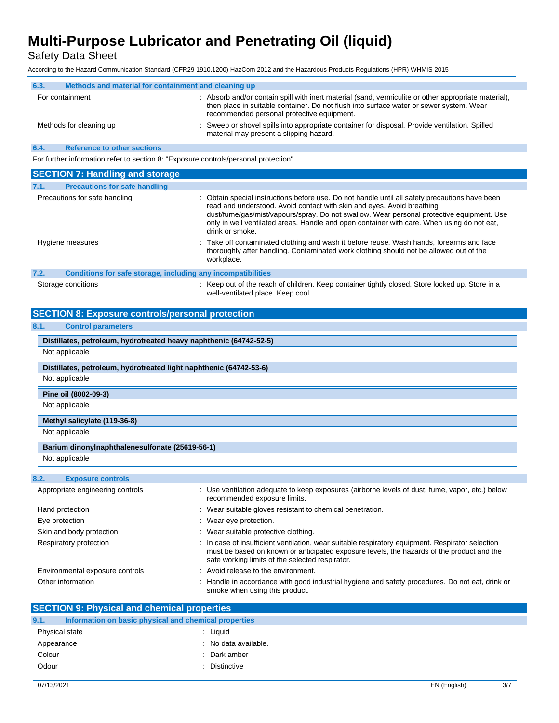Safety Data Sheet

According to the Hazard Communication Standard (CFR29 1910.1200) HazCom 2012 and the Hazardous Products Regulations (HPR) WHMIS 2015

| 6.3.                                                                                | Methods and material for containment and cleaning up |                                                                                                                                                                                                                                               |
|-------------------------------------------------------------------------------------|------------------------------------------------------|-----------------------------------------------------------------------------------------------------------------------------------------------------------------------------------------------------------------------------------------------|
|                                                                                     | For containment                                      | : Absorb and/or contain spill with inert material (sand, vermiculite or other appropriate material),<br>then place in suitable container. Do not flush into surface water or sewer system. Wear<br>recommended personal protective equipment. |
|                                                                                     | Methods for cleaning up                              | Sweep or shovel spills into appropriate container for disposal. Provide ventilation. Spilled<br>material may present a slipping hazard.                                                                                                       |
| 6.4.                                                                                | <b>Reference to other sections</b>                   |                                                                                                                                                                                                                                               |
| For further information refer to section 8: "Exposure controls/personal protection" |                                                      |                                                                                                                                                                                                                                               |

| <b>SECTION 7: Handling and storage</b>                               |                                                                                                                                                                                                                                                                                                                                                                                        |
|----------------------------------------------------------------------|----------------------------------------------------------------------------------------------------------------------------------------------------------------------------------------------------------------------------------------------------------------------------------------------------------------------------------------------------------------------------------------|
| 7.1.<br><b>Precautions for safe handling</b>                         |                                                                                                                                                                                                                                                                                                                                                                                        |
| Precautions for safe handling                                        | : Obtain special instructions before use. Do not handle until all safety precautions have been<br>read and understood. Avoid contact with skin and eyes. Avoid breathing<br>dust/fume/gas/mist/vapours/spray. Do not swallow. Wear personal protective equipment. Use<br>only in well ventilated areas. Handle and open container with care. When using do not eat,<br>drink or smoke. |
| Hygiene measures                                                     | : Take off contaminated clothing and wash it before reuse. Wash hands, forearms and face<br>thoroughly after handling. Contaminated work clothing should not be allowed out of the<br>workplace.                                                                                                                                                                                       |
| 7.2.<br>Conditions for safe storage, including any incompatibilities |                                                                                                                                                                                                                                                                                                                                                                                        |
| Storage conditions                                                   | Keep out of the reach of children. Keep container tightly closed. Store locked up. Store in a<br>well-ventilated place. Keep cool.                                                                                                                                                                                                                                                     |

### **SECTION 8: Exposure controls/personal protection**

### **8.1. Control parameters**

| Distillates, petroleum, hydrotreated heavy naphthenic (64742-52-5) |
|--------------------------------------------------------------------|
| Not applicable                                                     |
| Distillates, petroleum, hydrotreated light naphthenic (64742-53-6) |
| Not applicable                                                     |
| Pine oil (8002-09-3)                                               |
| Not applicable                                                     |
| Methyl salicylate (119-36-8)                                       |
| Not applicable                                                     |
| Barium dinonylnaphthalenesulfonate (25619-56-1)                    |
| Not applicable                                                     |

### **8.2. Exposure controls**

| Appropriate engineering controls | : Use ventilation adequate to keep exposures (airborne levels of dust, fume, vapor, etc.) below<br>recommended exposure limits.                                                                                                                  |
|----------------------------------|--------------------------------------------------------------------------------------------------------------------------------------------------------------------------------------------------------------------------------------------------|
| Hand protection                  | : Wear suitable gloves resistant to chemical penetration.                                                                                                                                                                                        |
| Eye protection                   | $\therefore$ Wear eye protection.                                                                                                                                                                                                                |
| Skin and body protection         | : Wear suitable protective clothing.                                                                                                                                                                                                             |
| Respiratory protection           | : In case of insufficient ventilation, wear suitable respiratory equipment. Respirator selection<br>must be based on known or anticipated exposure levels, the hazards of the product and the<br>safe working limits of the selected respirator. |
| Environmental exposure controls  | : Avoid release to the environment.                                                                                                                                                                                                              |
| Other information                | : Handle in accordance with good industrial hygiene and safety procedures. Do not eat, drink or<br>smoke when using this product.                                                                                                                |

| <b>SECTION 9: Physical and chemical properties</b> |                                                       |  |
|----------------------------------------------------|-------------------------------------------------------|--|
| 9.1.                                               | Information on basic physical and chemical properties |  |
| Physical state                                     | : Liguid                                              |  |
| Appearance                                         | : No data available.                                  |  |
| Colour                                             | : Dark amber                                          |  |
| Odour                                              | : Distinctive                                         |  |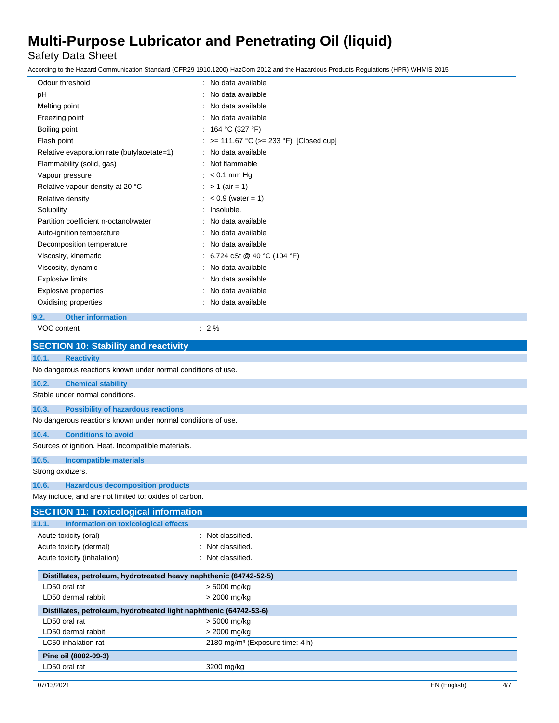Safety Data Sheet

According to the Hazard Communication Standard (CFR29 1910.1200) HazCom 2012 and the Hazardous Products Regulations (HPR) WHMIS 2015

| Odour threshold                            | : No data available                     |
|--------------------------------------------|-----------------------------------------|
| рH                                         | No data available                       |
| Melting point                              | : No data available                     |
| Freezing point                             | : No data available                     |
| Boiling point                              | : 164 °C (327 °F)                       |
| Flash point                                | : >= 111.67 °C (>= 233 °F) [Closed cup] |
| Relative evaporation rate (butylacetate=1) | : No data available                     |
| Flammability (solid, gas)                  | : Not flammable                         |
| Vapour pressure                            | $:$ < 0.1 mm Hg                         |
| Relative vapour density at 20 °C           | : $> 1$ (air = 1)                       |
| Relative density                           | $: < 0.9$ (water = 1)                   |
| Solubility                                 | : Insoluble.                            |
| Partition coefficient n-octanol/water      | : No data available                     |
| Auto-ignition temperature                  | : No data available                     |
| Decomposition temperature                  | No data available                       |
| Viscosity, kinematic                       | : 6.724 cSt @ 40 °C (104 °F)            |
| Viscosity, dynamic                         | : No data available                     |
| <b>Explosive limits</b>                    | No data available                       |
| <b>Explosive properties</b>                | No data available                       |
| Oxidising properties                       | : No data available                     |
| <b>Other information</b><br>9.2.           |                                         |
| VOC content                                | $: 2\%$                                 |
|                                            |                                         |

| <b>SECTION 10: Stability and reactivity</b>                        |                                             |  |
|--------------------------------------------------------------------|---------------------------------------------|--|
| <b>Reactivity</b><br>10.1.                                         |                                             |  |
| No dangerous reactions known under normal conditions of use.       |                                             |  |
| 10.2.<br><b>Chemical stability</b>                                 |                                             |  |
| Stable under normal conditions.                                    |                                             |  |
| 10.3.<br><b>Possibility of hazardous reactions</b>                 |                                             |  |
| No dangerous reactions known under normal conditions of use.       |                                             |  |
| <b>Conditions to avoid</b><br>10.4.                                |                                             |  |
| Sources of ignition. Heat. Incompatible materials.                 |                                             |  |
| 10.5.<br><b>Incompatible materials</b>                             |                                             |  |
| Strong oxidizers.                                                  |                                             |  |
| 10.6.<br><b>Hazardous decomposition products</b>                   |                                             |  |
| May include, and are not limited to: oxides of carbon.             |                                             |  |
| <b>SECTION 11: Toxicological information</b>                       |                                             |  |
| Information on toxicological effects<br>11.1.                      |                                             |  |
| Acute toxicity (oral)                                              | : Not classified.                           |  |
| Acute toxicity (dermal)                                            | Not classified.                             |  |
| Acute toxicity (inhalation)                                        | Not classified.                             |  |
| Distillates, petroleum, hydrotreated heavy naphthenic (64742-52-5) |                                             |  |
| LD50 oral rat                                                      | > 5000 mg/kg                                |  |
| LD50 dermal rabbit                                                 | > 2000 mg/kg                                |  |
| Distillates, petroleum, hydrotreated light naphthenic (64742-53-6) |                                             |  |
| LD50 oral rat                                                      | > 5000 mg/kg                                |  |
| LD50 dermal rabbit                                                 | > 2000 mg/kg                                |  |
| LC50 inhalation rat                                                | 2180 mg/m <sup>3</sup> (Exposure time: 4 h) |  |
| Pine oil (8002-09-3)                                               |                                             |  |
| LD50 oral rat                                                      | 3200 mg/kg                                  |  |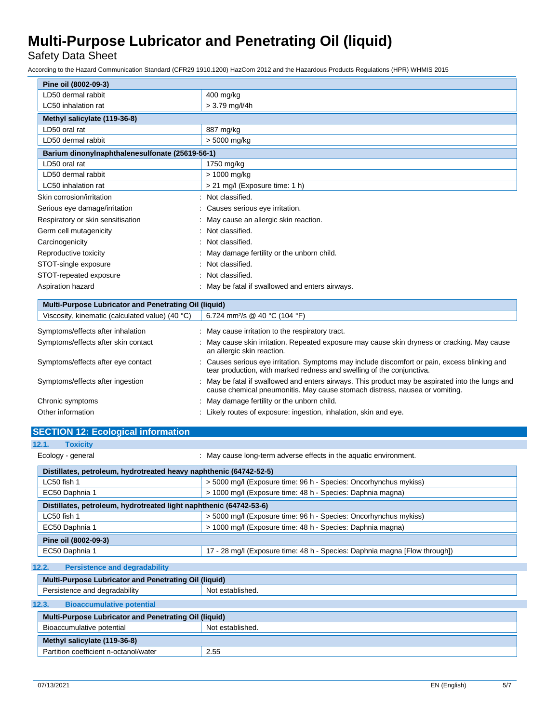Safety Data Sheet

According to the Hazard Communication Standard (CFR29 1910.1200) HazCom 2012 and the Hazardous Products Regulations (HPR) WHMIS 2015

| Pine oil (8002-09-3)                            |                                                 |
|-------------------------------------------------|-------------------------------------------------|
| LD50 dermal rabbit                              | 400 mg/kg                                       |
| LC50 inhalation rat                             | $> 3.79$ mg/l/4h                                |
| Methyl salicylate (119-36-8)                    |                                                 |
| LD50 oral rat                                   | 887 mg/kg                                       |
| LD50 dermal rabbit                              | > 5000 mg/kg                                    |
| Barium dinonylnaphthalenesulfonate (25619-56-1) |                                                 |
| LD50 oral rat                                   | 1750 mg/kg                                      |
| LD50 dermal rabbit                              | > 1000 mg/kg                                    |
| LC50 inhalation rat                             | > 21 mg/l (Exposure time: 1 h)                  |
| Skin corrosion/irritation                       | Not classified.                                 |
| Serious eye damage/irritation                   | Causes serious eye irritation.                  |
| Respiratory or skin sensitisation               | : May cause an allergic skin reaction.          |
| Germ cell mutagenicity                          | : Not classified.                               |
| Carcinogenicity                                 | : Not classified.                               |
| Reproductive toxicity                           | May damage fertility or the unborn child.       |
| STOT-single exposure                            | Not classified.                                 |
| STOT-repeated exposure                          | : Not classified.                               |
| Aspiration hazard                               | : May be fatal if swallowed and enters airways. |

| <b>Multi-Purpose Lubricator and Penetrating Oil (liquid)</b> |                                                                                                                                                                                 |  |
|--------------------------------------------------------------|---------------------------------------------------------------------------------------------------------------------------------------------------------------------------------|--|
| Viscosity, kinematic (calculated value) (40 °C)              | 6.724 mm <sup>2</sup> /s @ 40 °C (104 °F)                                                                                                                                       |  |
| Symptoms/effects after inhalation                            | : May cause irritation to the respiratory tract.                                                                                                                                |  |
| Symptoms/effects after skin contact                          | : May cause skin irritation. Repeated exposure may cause skin dryness or cracking. May cause<br>an allergic skin reaction.                                                      |  |
| Symptoms/effects after eye contact                           | : Causes serious eye irritation. Symptoms may include discomfort or pain, excess blinking and<br>tear production, with marked redness and swelling of the conjunctiva.          |  |
| Symptoms/effects after ingestion                             | : May be fatal if swallowed and enters airways. This product may be aspirated into the lungs and<br>cause chemical pneumonitis. May cause stomach distress, nausea or vomiting. |  |
| Chronic symptoms                                             | : May damage fertility or the unborn child.                                                                                                                                     |  |
| Other information                                            | : Likely routes of exposure: ingestion, inhalation, skin and eye.                                                                                                               |  |

| <b>SECTION 12: Ecological information</b>                          |                                                                            |  |  |  |  |
|--------------------------------------------------------------------|----------------------------------------------------------------------------|--|--|--|--|
| 12.1.<br><b>Toxicity</b>                                           |                                                                            |  |  |  |  |
| Ecology - general                                                  | : May cause long-term adverse effects in the aquatic environment.          |  |  |  |  |
| Distillates, petroleum, hydrotreated heavy naphthenic (64742-52-5) |                                                                            |  |  |  |  |
| $LC50$ fish 1                                                      | > 5000 mg/l (Exposure time: 96 h - Species: Oncorhynchus mykiss)           |  |  |  |  |
| EC50 Daphnia 1                                                     | > 1000 mg/l (Exposure time: 48 h - Species: Daphnia magna)                 |  |  |  |  |
| Distillates, petroleum, hydrotreated light naphthenic (64742-53-6) |                                                                            |  |  |  |  |
| LC50 fish 1                                                        | > 5000 mg/l (Exposure time: 96 h - Species: Oncorhynchus mykiss)           |  |  |  |  |
| EC50 Daphnia 1                                                     | > 1000 mg/l (Exposure time: 48 h - Species: Daphnia magna)                 |  |  |  |  |
| Pine oil (8002-09-3)                                               |                                                                            |  |  |  |  |
| EC50 Daphnia 1                                                     | 17 - 28 mg/l (Exposure time: 48 h - Species: Daphnia magna [Flow through]) |  |  |  |  |
| 12.2.<br><b>Persistence and degradability</b>                      |                                                                            |  |  |  |  |
| Multi-Purpose Lubricator and Penetrating Oil (liquid)              |                                                                            |  |  |  |  |
| Persistence and degradability                                      | Not established.                                                           |  |  |  |  |
| 12.3.<br><b>Bioaccumulative potential</b>                          |                                                                            |  |  |  |  |
| <b>Multi-Purpose Lubricator and Penetrating Oil (liquid)</b>       |                                                                            |  |  |  |  |
| Bioaccumulative potential                                          | Not established.                                                           |  |  |  |  |
| Methyl salicylate (119-36-8)                                       |                                                                            |  |  |  |  |
| Partition coefficient n-octanol/water                              | 2.55                                                                       |  |  |  |  |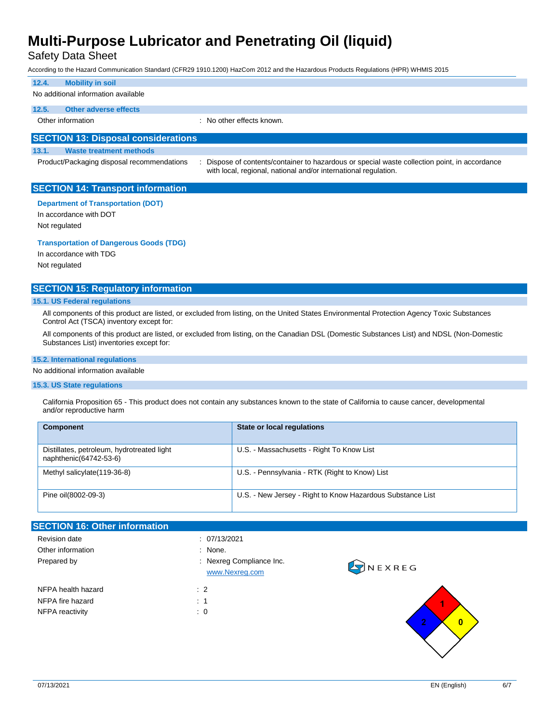Safety Data Sheet

According to the Hazard Communication Standard (CFR29 1910.1200) HazCom 2012 and the Hazardous Products Regulations (HPR) WHMIS 2015

| 12.4.                                      | <b>Mobility in soil</b>                    |  |                                                                                                                                                                |  |  |
|--------------------------------------------|--------------------------------------------|--|----------------------------------------------------------------------------------------------------------------------------------------------------------------|--|--|
| No additional information available        |                                            |  |                                                                                                                                                                |  |  |
| 12.5.                                      | Other adverse effects                      |  |                                                                                                                                                                |  |  |
|                                            | Other information                          |  | : No other effects known.                                                                                                                                      |  |  |
|                                            |                                            |  |                                                                                                                                                                |  |  |
| <b>SECTION 13: Disposal considerations</b> |                                            |  |                                                                                                                                                                |  |  |
| 13.1.                                      | <b>Waste treatment methods</b>             |  |                                                                                                                                                                |  |  |
|                                            | Product/Packaging disposal recommendations |  | Dispose of contents/container to hazardous or special waste collection point, in accordance<br>with local, regional, national and/or international regulation. |  |  |

### **SECTION 14: Transport information**

**Department of Transportation (DOT)**

In accordance with DOT

Not regulated

**Transportation of Dangerous Goods (TDG)**

In accordance with TDG Not regulated

### **SECTION 15: Regulatory information**

### **15.1. US Federal regulations**

All components of this product are listed, or excluded from listing, on the United States Environmental Protection Agency Toxic Substances Control Act (TSCA) inventory except for:

All components of this product are listed, or excluded from listing, on the Canadian DSL (Domestic Substances List) and NDSL (Non-Domestic Substances List) inventories except for:

### **15.2. International regulations**

### No additional information available

#### **15.3. US State regulations**

California Proposition 65 - This product does not contain any substances known to the state of California to cause cancer, developmental and/or reproductive harm

| <b>Component</b>                                                     | <b>State or local regulations</b>                          |
|----------------------------------------------------------------------|------------------------------------------------------------|
| Distillates, petroleum, hydrotreated light<br>naphthenic(64742-53-6) | U.S. - Massachusetts - Right To Know List                  |
| Methyl salicylate (119-36-8)                                         | U.S. - Pennsylvania - RTK (Right to Know) List             |
| Pine oil(8002-09-3)                                                  | U.S. - New Jersey - Right to Know Hazardous Substance List |

### **SECTION 16: Other information** Revision date : 07/13/2021 Other information  $\blacksquare$  : None. Prepared by **Example 20** Prepared by **:** Nexreg Compliance Inc. **ONEXREG** [www.Nexreg.com](http://www.nexreg.com/) NFPA health hazard : 2 NFPA fire hazard : 1 NFPA reactivity : 0  $\overline{\mathbf{0}}$